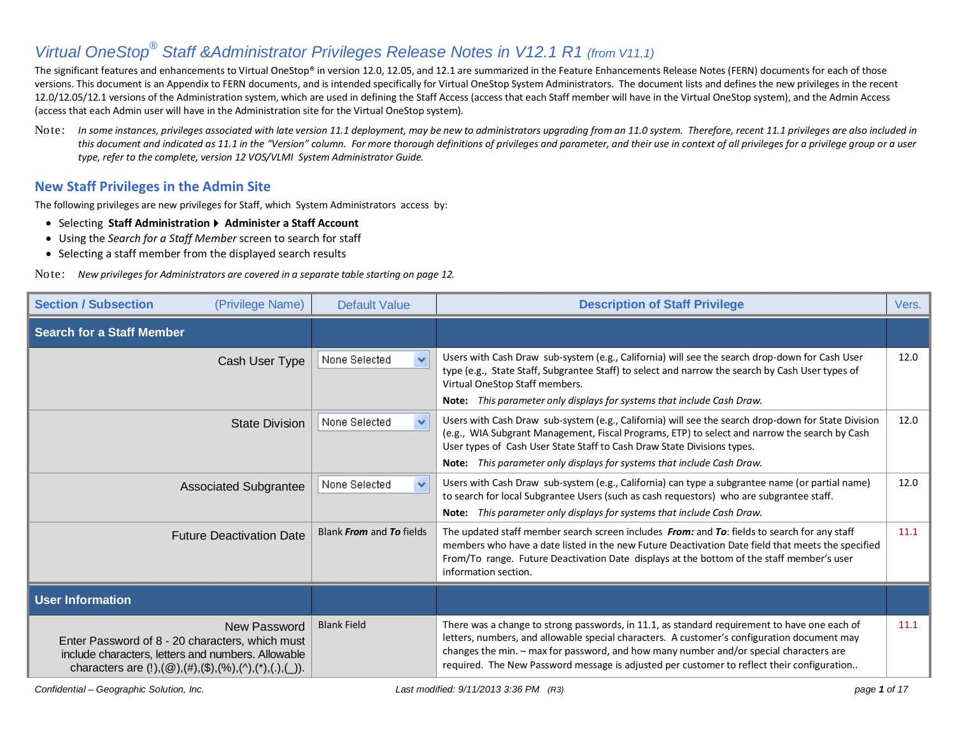The significant features and enhancements to Virtual OneStop® in version 12.0, 12.05, and 12.1 are summarized in the Feature Enhancements Release Notes (FERN) documents for each of those versions. This document is an Appendix to FERN documents, and is intended specifically for Virtual OneStop System Administrators. The document lists and defines the new privileges in the recent 12.0/12.05/12.1 versions of the Administration system, which are used in defining the Staff Access (access that each Staff member will have in the Virtual OneStop system), and the Admin Access (access that each Admin user will have in the Administration site for the Virtual OneStop system).

Note: *In some instances, privileges associated with late version 11.1 deployment, may be new to administrators upgrading from an 11.0 system. Therefore, recent 11.1 privileges are also included in this document and indicated as 11.1 in the "Version" column. For more thorough definitions of privileges and parameter, and their use in context of all privileges for a privilege group or a user type, refer to the complete, version 12 VOS/VLMI System Administrator Guide.* 

#### **New Staff Privileges in the Admin Site**

The following privileges are new privileges for Staff, which System Administrators access by:

- Selecting **Staff Administration Administer a Staff Account**
- Using the *Search for a Staff Member* screen to search for staff
- Selecting a staff member from the displayed search results

Note: *New privileges for Administrators are covered in a separate table starting on page 12.* 

| <b>Section / Subsection</b><br>(Privilege Name)                                                                                                                                                                                                        | <b>Default Value</b>          | <b>Description of Staff Privilege</b>                                                                                                                                                                                                                                                                                                                                               | Vers. |
|--------------------------------------------------------------------------------------------------------------------------------------------------------------------------------------------------------------------------------------------------------|-------------------------------|-------------------------------------------------------------------------------------------------------------------------------------------------------------------------------------------------------------------------------------------------------------------------------------------------------------------------------------------------------------------------------------|-------|
| <b>Search for a Staff Member</b>                                                                                                                                                                                                                       |                               |                                                                                                                                                                                                                                                                                                                                                                                     |       |
| Cash User Type                                                                                                                                                                                                                                         | None Selected<br>$\checkmark$ | Users with Cash Draw sub-system (e.g., California) will see the search drop-down for Cash User<br>type (e.g., State Staff, Subgrantee Staff) to select and narrow the search by Cash User types of<br>Virtual OneStop Staff members.<br>Note: This parameter only displays for systems that include Cash Draw.                                                                      | 12.0  |
| <b>State Division</b>                                                                                                                                                                                                                                  | None Selected<br>$\checkmark$ | Users with Cash Draw sub-system (e.g., California) will see the search drop-down for State Division<br>(e.g., WIA Subgrant Management, Fiscal Programs, ETP) to select and narrow the search by Cash<br>User types of Cash User State Staff to Cash Draw State Divisions types.<br>Note: This parameter only displays for systems that include Cash Draw.                           | 12.0  |
| <b>Associated Subgrantee</b>                                                                                                                                                                                                                           | None Selected<br>$\checkmark$ | Users with Cash Draw sub-system (e.g., California) can type a subgrantee name (or partial name)<br>to search for local Subgrantee Users (such as cash requestors) who are subgrantee staff.<br>Note: This parameter only displays for systems that include Cash Draw.                                                                                                               | 12.0  |
| <b>Future Deactivation Date</b>                                                                                                                                                                                                                        | Blank From and To fields      | The updated staff member search screen includes From: and To: fields to search for any staff<br>members who have a date listed in the new Future Deactivation Date field that meets the specified<br>From/To range. Future Deactivation Date displays at the bottom of the staff member's user<br>information section.                                                              | 11.1  |
| <b>User Information</b>                                                                                                                                                                                                                                |                               |                                                                                                                                                                                                                                                                                                                                                                                     |       |
| New Password<br>Enter Password of 8 - 20 characters, which must<br>include characters, letters and numbers. Allowable<br>characters are $(!), (\textcircled{2}), (\#), (\textcircled{3}), (\textcircled{4}), (\wedge), (\wedge), (\ldots), (\ldots)$ . | <b>Blank Field</b>            | There was a change to strong passwords, in 11.1, as standard requirement to have one each of<br>letters, numbers, and allowable special characters. A customer's configuration document may<br>changes the min. - max for password, and how many number and/or special characters are<br>required. The New Password message is adjusted per customer to reflect their configuration | 11.1  |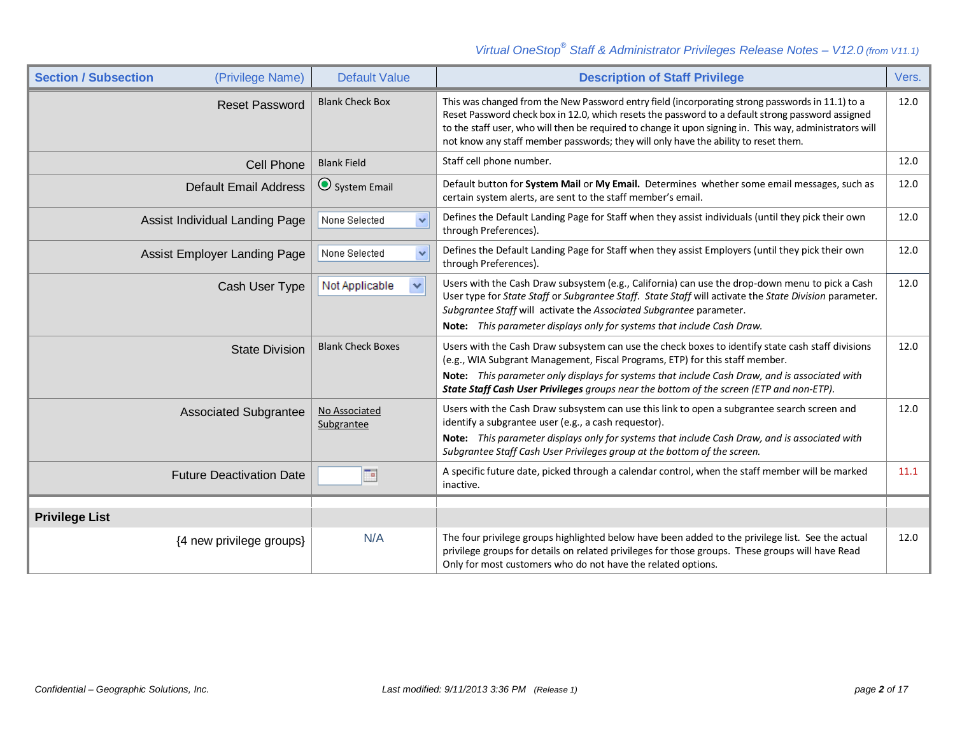| <b>Section / Subsection</b><br>(Privilege Name) | <b>Default Value</b>           | <b>Description of Staff Privilege</b>                                                                                                                                                                                                                                                                                                                                                                    | Vers. |
|-------------------------------------------------|--------------------------------|----------------------------------------------------------------------------------------------------------------------------------------------------------------------------------------------------------------------------------------------------------------------------------------------------------------------------------------------------------------------------------------------------------|-------|
| <b>Reset Password</b>                           | <b>Blank Check Box</b>         | This was changed from the New Password entry field (incorporating strong passwords in 11.1) to a<br>Reset Password check box in 12.0, which resets the password to a default strong password assigned<br>to the staff user, who will then be required to change it upon signing in. This way, administrators will<br>not know any staff member passwords; they will only have the ability to reset them. | 12.0  |
| <b>Cell Phone</b>                               | <b>Blank Field</b>             | Staff cell phone number.                                                                                                                                                                                                                                                                                                                                                                                 | 12.0  |
| <b>Default Email Address</b>                    | System Email                   | Default button for System Mail or My Email. Determines whether some email messages, such as<br>certain system alerts, are sent to the staff member's email.                                                                                                                                                                                                                                              | 12.0  |
| Assist Individual Landing Page                  | $\checkmark$<br>None Selected  | Defines the Default Landing Page for Staff when they assist individuals (until they pick their own<br>through Preferences).                                                                                                                                                                                                                                                                              | 12.0  |
| <b>Assist Employer Landing Page</b>             | $\checkmark$<br>None Selected  | Defines the Default Landing Page for Staff when they assist Employers (until they pick their own<br>through Preferences).                                                                                                                                                                                                                                                                                | 12.0  |
| Cash User Type                                  | Not Applicable<br>$\checkmark$ | Users with the Cash Draw subsystem (e.g., California) can use the drop-down menu to pick a Cash<br>User type for State Staff or Subgrantee Staff. State Staff will activate the State Division parameter.<br>Subgrantee Staff will activate the Associated Subgrantee parameter.                                                                                                                         | 12.0  |
|                                                 |                                | Note: This parameter displays only for systems that include Cash Draw.                                                                                                                                                                                                                                                                                                                                   |       |
| <b>State Division</b>                           | <b>Blank Check Boxes</b>       | Users with the Cash Draw subsystem can use the check boxes to identify state cash staff divisions<br>(e.g., WIA Subgrant Management, Fiscal Programs, ETP) for this staff member.<br>Note: This parameter only displays for systems that include Cash Draw, and is associated with<br><b>State Staff Cash User Privileges</b> aroups near the bottom of the screen (ETP and non-ETP).                    | 12.0  |
| <b>Associated Subgrantee</b>                    | No Associated<br>Subgrantee    | Users with the Cash Draw subsystem can use this link to open a subgrantee search screen and<br>identify a subgrantee user (e.g., a cash requestor).                                                                                                                                                                                                                                                      | 12.0  |
|                                                 |                                | Note: This parameter displays only for systems that include Cash Draw, and is associated with<br>Subgrantee Staff Cash User Privileges group at the bottom of the screen.                                                                                                                                                                                                                                |       |
| <b>Future Deactivation Date</b>                 | To                             | A specific future date, picked through a calendar control, when the staff member will be marked<br>inactive.                                                                                                                                                                                                                                                                                             | 11.1  |
|                                                 |                                |                                                                                                                                                                                                                                                                                                                                                                                                          |       |
| <b>Privilege List</b>                           |                                |                                                                                                                                                                                                                                                                                                                                                                                                          |       |
| {4 new privilege groups}                        | N/A                            | The four privilege groups highlighted below have been added to the privilege list. See the actual<br>privilege groups for details on related privileges for those groups. These groups will have Read<br>Only for most customers who do not have the related options.                                                                                                                                    | 12.0  |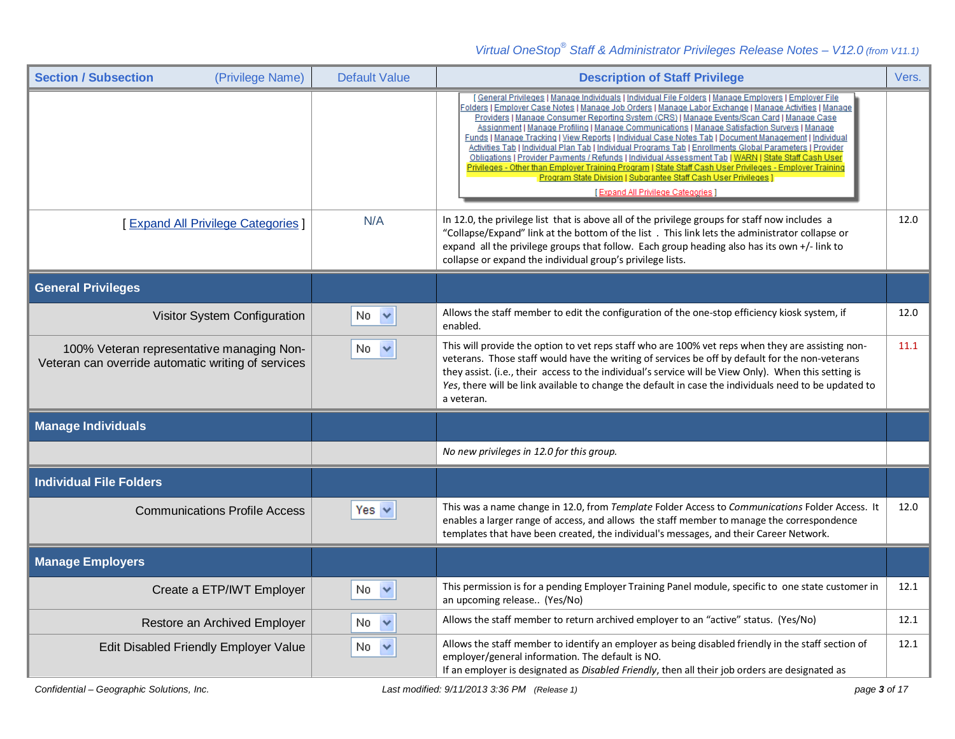| <b>Section / Subsection</b><br>(Privilege Name)                                                 | <b>Default Value</b> | <b>Description of Staff Privilege</b>                                                                                                                                                                                                                                                                                                                                                                                                                                                                                                                                                                                                                                                                                                                                                                                                                                                                                                                            | Vers. |
|-------------------------------------------------------------------------------------------------|----------------------|------------------------------------------------------------------------------------------------------------------------------------------------------------------------------------------------------------------------------------------------------------------------------------------------------------------------------------------------------------------------------------------------------------------------------------------------------------------------------------------------------------------------------------------------------------------------------------------------------------------------------------------------------------------------------------------------------------------------------------------------------------------------------------------------------------------------------------------------------------------------------------------------------------------------------------------------------------------|-------|
|                                                                                                 |                      | [General Privileges   Manage Individuals   Individual File Folders   Manage Employers   Employer File<br>Folders   Employer Case Notes   Manage Job Orders   Manage Labor Exchange   Manage Activities   Manage<br>Providers   Manage Consumer Reporting System (CRS)   Manage Events/Scan Card   Manage Case<br>Assignment   Manage Profiling   Manage Communications   Manage Satisfaction Surveys   Manage<br>Funds   Manage Tracking   View Reports   Individual Case Notes Tab   Document Management   Individual<br>Activities Tab   Individual Plan Tab   Individual Programs Tab   Enrollments Global Parameters   Provider<br>Obligations   Provider Payments / Refunds   Individual Assessment Tab   WARN   State Staff Cash User<br>Privileges - Other than Employer Training Program   State Staff Cash User Privileges - Employer Training<br>Program State Division   Subgrantee Staff Cash User Privileges ]<br>[Expand All Privilege Categories] |       |
| [Expand All Privilege Categories]                                                               | N/A                  | In 12.0, the privilege list that is above all of the privilege groups for staff now includes a<br>"Collapse/Expand" link at the bottom of the list. This link lets the administrator collapse or<br>expand all the privilege groups that follow. Each group heading also has its own +/- link to<br>collapse or expand the individual group's privilege lists.                                                                                                                                                                                                                                                                                                                                                                                                                                                                                                                                                                                                   | 12.0  |
| <b>General Privileges</b>                                                                       |                      |                                                                                                                                                                                                                                                                                                                                                                                                                                                                                                                                                                                                                                                                                                                                                                                                                                                                                                                                                                  |       |
| Visitor System Configuration                                                                    | $No \nightharpoonup$ | Allows the staff member to edit the configuration of the one-stop efficiency kiosk system, if<br>enabled.                                                                                                                                                                                                                                                                                                                                                                                                                                                                                                                                                                                                                                                                                                                                                                                                                                                        | 12.0  |
| 100% Veteran representative managing Non-<br>Veteran can override automatic writing of services | $No \sim$            | This will provide the option to vet reps staff who are 100% vet reps when they are assisting non-<br>veterans. Those staff would have the writing of services be off by default for the non-veterans<br>they assist. (i.e., their access to the individual's service will be View Only). When this setting is<br>Yes, there will be link available to change the default in case the individuals need to be updated to<br>a veteran.                                                                                                                                                                                                                                                                                                                                                                                                                                                                                                                             | 11.1  |
| <b>Manage Individuals</b>                                                                       |                      |                                                                                                                                                                                                                                                                                                                                                                                                                                                                                                                                                                                                                                                                                                                                                                                                                                                                                                                                                                  |       |
|                                                                                                 |                      | No new privileges in 12.0 for this group.                                                                                                                                                                                                                                                                                                                                                                                                                                                                                                                                                                                                                                                                                                                                                                                                                                                                                                                        |       |
| <b>Individual File Folders</b>                                                                  |                      |                                                                                                                                                                                                                                                                                                                                                                                                                                                                                                                                                                                                                                                                                                                                                                                                                                                                                                                                                                  |       |
| <b>Communications Profile Access</b>                                                            | Yes $\vee$           | This was a name change in 12.0, from Template Folder Access to Communications Folder Access. It<br>enables a larger range of access, and allows the staff member to manage the correspondence<br>templates that have been created, the individual's messages, and their Career Network.                                                                                                                                                                                                                                                                                                                                                                                                                                                                                                                                                                                                                                                                          | 12.0  |
| <b>Manage Employers</b>                                                                         |                      |                                                                                                                                                                                                                                                                                                                                                                                                                                                                                                                                                                                                                                                                                                                                                                                                                                                                                                                                                                  |       |
| Create a ETP/IWT Employer                                                                       | No.<br>$\checkmark$  | This permission is for a pending Employer Training Panel module, specific to one state customer in<br>an upcoming release (Yes/No)                                                                                                                                                                                                                                                                                                                                                                                                                                                                                                                                                                                                                                                                                                                                                                                                                               | 12.1  |
| Restore an Archived Employer                                                                    | No.                  | Allows the staff member to return archived employer to an "active" status. (Yes/No)                                                                                                                                                                                                                                                                                                                                                                                                                                                                                                                                                                                                                                                                                                                                                                                                                                                                              | 12.1  |
| Edit Disabled Friendly Employer Value                                                           | No.                  | Allows the staff member to identify an employer as being disabled friendly in the staff section of<br>employer/general information. The default is NO.<br>If an employer is designated as Disabled Friendly, then all their job orders are designated as                                                                                                                                                                                                                                                                                                                                                                                                                                                                                                                                                                                                                                                                                                         | 12.1  |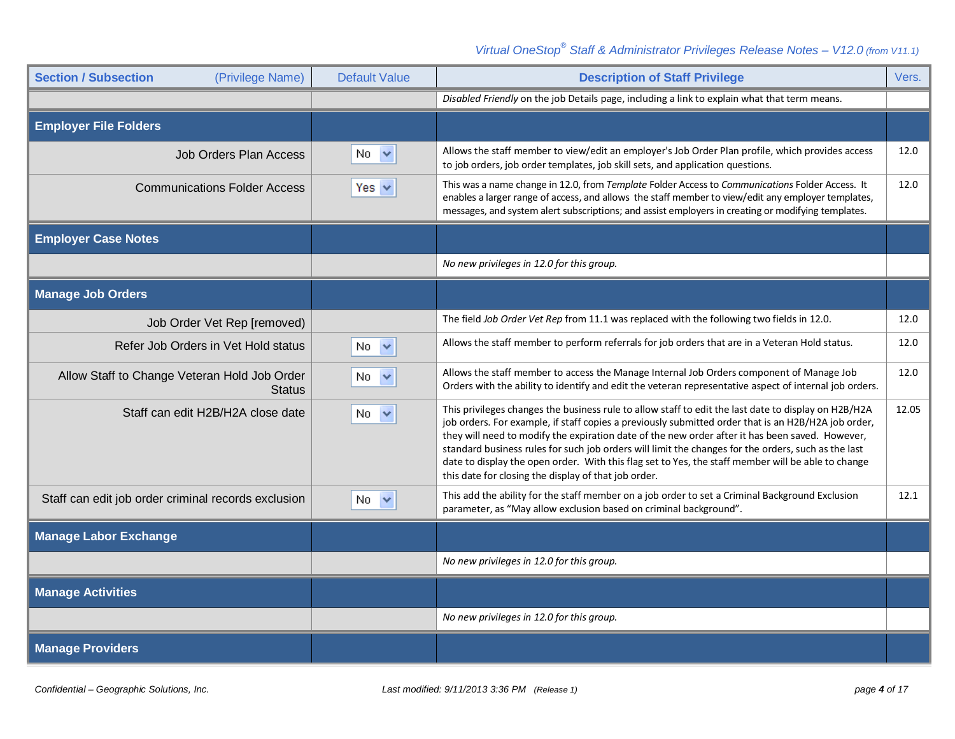| <b>Section / Subsection</b><br>(Privilege Name)               | <b>Default Value</b> | <b>Description of Staff Privilege</b>                                                                                                                                                                                                                                                                                                                                                                                                                                                                                                                                               | Vers. |
|---------------------------------------------------------------|----------------------|-------------------------------------------------------------------------------------------------------------------------------------------------------------------------------------------------------------------------------------------------------------------------------------------------------------------------------------------------------------------------------------------------------------------------------------------------------------------------------------------------------------------------------------------------------------------------------------|-------|
|                                                               |                      | Disabled Friendly on the job Details page, including a link to explain what that term means.                                                                                                                                                                                                                                                                                                                                                                                                                                                                                        |       |
| <b>Employer File Folders</b>                                  |                      |                                                                                                                                                                                                                                                                                                                                                                                                                                                                                                                                                                                     |       |
| <b>Job Orders Plan Access</b>                                 | $\checkmark$<br>No.  | Allows the staff member to view/edit an employer's Job Order Plan profile, which provides access<br>to job orders, job order templates, job skill sets, and application questions.                                                                                                                                                                                                                                                                                                                                                                                                  | 12.0  |
| <b>Communications Folder Access</b>                           | Yes $\vee$           | This was a name change in 12.0, from Template Folder Access to Communications Folder Access. It<br>enables a larger range of access, and allows the staff member to view/edit any employer templates,<br>messages, and system alert subscriptions; and assist employers in creating or modifying templates.                                                                                                                                                                                                                                                                         | 12.0  |
| <b>Employer Case Notes</b>                                    |                      |                                                                                                                                                                                                                                                                                                                                                                                                                                                                                                                                                                                     |       |
|                                                               |                      | No new privileges in 12.0 for this group.                                                                                                                                                                                                                                                                                                                                                                                                                                                                                                                                           |       |
| <b>Manage Job Orders</b>                                      |                      |                                                                                                                                                                                                                                                                                                                                                                                                                                                                                                                                                                                     |       |
| Job Order Vet Rep [removed)                                   |                      | The field Job Order Vet Rep from 11.1 was replaced with the following two fields in 12.0.                                                                                                                                                                                                                                                                                                                                                                                                                                                                                           | 12.0  |
| Refer Job Orders in Vet Hold status                           | No.<br>$\checkmark$  | Allows the staff member to perform referrals for job orders that are in a Veteran Hold status.                                                                                                                                                                                                                                                                                                                                                                                                                                                                                      | 12.0  |
| Allow Staff to Change Veteran Hold Job Order<br><b>Status</b> | No.<br>$\checkmark$  | Allows the staff member to access the Manage Internal Job Orders component of Manage Job<br>Orders with the ability to identify and edit the veteran representative aspect of internal job orders.                                                                                                                                                                                                                                                                                                                                                                                  | 12.0  |
| Staff can edit H2B/H2A close date                             | No $\vee$            | This privileges changes the business rule to allow staff to edit the last date to display on H2B/H2A<br>job orders. For example, if staff copies a previously submitted order that is an H2B/H2A job order,<br>they will need to modify the expiration date of the new order after it has been saved. However,<br>standard business rules for such job orders will limit the changes for the orders, such as the last<br>date to display the open order. With this flag set to Yes, the staff member will be able to change<br>this date for closing the display of that job order. | 12.05 |
| Staff can edit job order criminal records exclusion           | $No \sim$            | This add the ability for the staff member on a job order to set a Criminal Background Exclusion<br>parameter, as "May allow exclusion based on criminal background".                                                                                                                                                                                                                                                                                                                                                                                                                | 12.1  |
| <b>Manage Labor Exchange</b>                                  |                      |                                                                                                                                                                                                                                                                                                                                                                                                                                                                                                                                                                                     |       |
|                                                               |                      | No new privileges in 12.0 for this group.                                                                                                                                                                                                                                                                                                                                                                                                                                                                                                                                           |       |
| <b>Manage Activities</b>                                      |                      |                                                                                                                                                                                                                                                                                                                                                                                                                                                                                                                                                                                     |       |
|                                                               |                      | No new privileges in 12.0 for this group.                                                                                                                                                                                                                                                                                                                                                                                                                                                                                                                                           |       |
| <b>Manage Providers</b>                                       |                      |                                                                                                                                                                                                                                                                                                                                                                                                                                                                                                                                                                                     |       |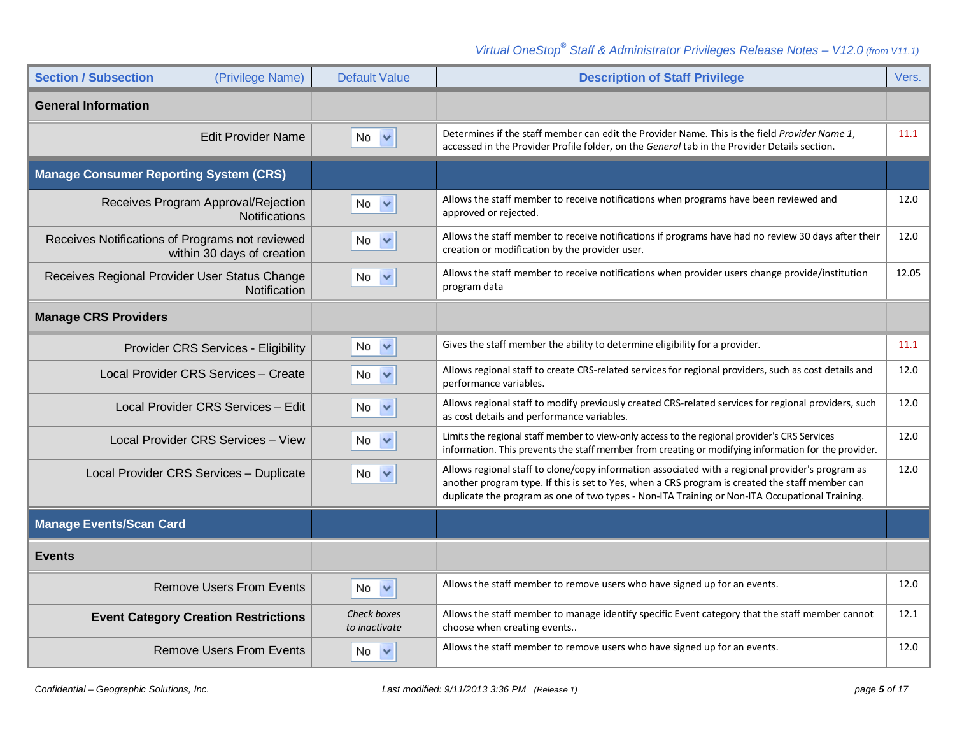| <b>Section / Subsection</b><br>(Privilege Name)                               | <b>Default Value</b>         | <b>Description of Staff Privilege</b>                                                                                                                                                                                                                                                                 | Vers. |
|-------------------------------------------------------------------------------|------------------------------|-------------------------------------------------------------------------------------------------------------------------------------------------------------------------------------------------------------------------------------------------------------------------------------------------------|-------|
| <b>General Information</b>                                                    |                              |                                                                                                                                                                                                                                                                                                       |       |
| <b>Edit Provider Name</b>                                                     | No.<br>$\checkmark$          | Determines if the staff member can edit the Provider Name. This is the field Provider Name 1,<br>accessed in the Provider Profile folder, on the General tab in the Provider Details section.                                                                                                         | 11.1  |
| <b>Manage Consumer Reporting System (CRS)</b>                                 |                              |                                                                                                                                                                                                                                                                                                       |       |
| Receives Program Approval/Rejection<br>Notifications                          | No.<br>$\checkmark$          | Allows the staff member to receive notifications when programs have been reviewed and<br>approved or rejected.                                                                                                                                                                                        | 12.0  |
| Receives Notifications of Programs not reviewed<br>within 30 days of creation | No.                          | Allows the staff member to receive notifications if programs have had no review 30 days after their<br>creation or modification by the provider user.                                                                                                                                                 | 12.0  |
| Receives Regional Provider User Status Change<br>Notification                 | No.<br>$\checkmark$          | Allows the staff member to receive notifications when provider users change provide/institution<br>program data                                                                                                                                                                                       | 12.05 |
| <b>Manage CRS Providers</b>                                                   |                              |                                                                                                                                                                                                                                                                                                       |       |
| Provider CRS Services - Eligibility                                           | No <                         | Gives the staff member the ability to determine eligibility for a provider.                                                                                                                                                                                                                           | 11.1  |
| Local Provider CRS Services - Create                                          | $No \sim$                    | Allows regional staff to create CRS-related services for regional providers, such as cost details and<br>performance variables.                                                                                                                                                                       | 12.0  |
| Local Provider CRS Services - Edit                                            | No.<br>$\checkmark$          | Allows regional staff to modify previously created CRS-related services for regional providers, such<br>as cost details and performance variables.                                                                                                                                                    | 12.0  |
| Local Provider CRS Services - View                                            | No.<br>$\checkmark$          | Limits the regional staff member to view-only access to the regional provider's CRS Services<br>information. This prevents the staff member from creating or modifying information for the provider.                                                                                                  | 12.0  |
| Local Provider CRS Services - Duplicate                                       | No.<br>$\checkmark$          | Allows regional staff to clone/copy information associated with a regional provider's program as<br>another program type. If this is set to Yes, when a CRS program is created the staff member can<br>duplicate the program as one of two types - Non-ITA Training or Non-ITA Occupational Training. | 12.0  |
| <b>Manage Events/Scan Card</b>                                                |                              |                                                                                                                                                                                                                                                                                                       |       |
| <b>Events</b>                                                                 |                              |                                                                                                                                                                                                                                                                                                       |       |
| <b>Remove Users From Events</b>                                               | No.<br>$\checkmark$          | Allows the staff member to remove users who have signed up for an events.                                                                                                                                                                                                                             | 12.0  |
| <b>Event Category Creation Restrictions</b>                                   | Check boxes<br>to inactivate | Allows the staff member to manage identify specific Event category that the staff member cannot<br>choose when creating events                                                                                                                                                                        | 12.1  |
| <b>Remove Users From Events</b>                                               | No.                          | Allows the staff member to remove users who have signed up for an events.                                                                                                                                                                                                                             | 12.0  |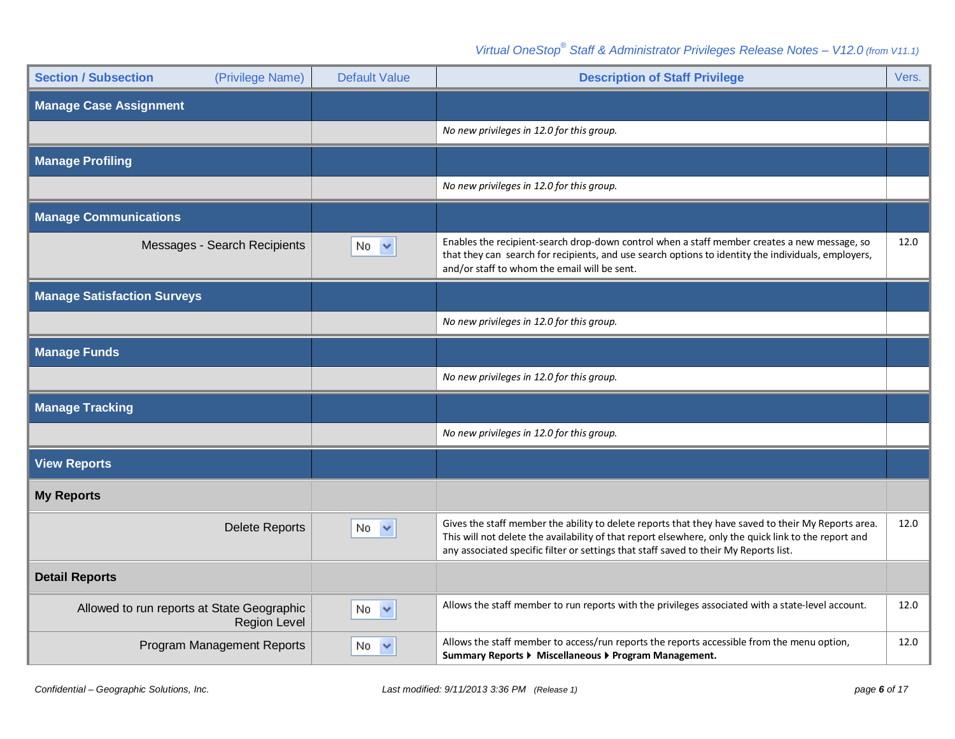| <b>Section / Subsection</b><br>(Privilege Name)                   | <b>Default Value</b> | <b>Description of Staff Privilege</b>                                                                                                                                                                                                                                                                 | Vers. |
|-------------------------------------------------------------------|----------------------|-------------------------------------------------------------------------------------------------------------------------------------------------------------------------------------------------------------------------------------------------------------------------------------------------------|-------|
| <b>Manage Case Assignment</b>                                     |                      |                                                                                                                                                                                                                                                                                                       |       |
|                                                                   |                      | No new privileges in 12.0 for this group.                                                                                                                                                                                                                                                             |       |
| <b>Manage Profiling</b>                                           |                      |                                                                                                                                                                                                                                                                                                       |       |
|                                                                   |                      | No new privileges in 12.0 for this group.                                                                                                                                                                                                                                                             |       |
| <b>Manage Communications</b>                                      |                      |                                                                                                                                                                                                                                                                                                       |       |
| Messages - Search Recipients                                      | $No \nightharpoonup$ | Enables the recipient-search drop-down control when a staff member creates a new message, so<br>that they can search for recipients, and use search options to identity the individuals, employers,<br>and/or staff to whom the email will be sent.                                                   | 12.0  |
| <b>Manage Satisfaction Surveys</b>                                |                      |                                                                                                                                                                                                                                                                                                       |       |
|                                                                   |                      | No new privileges in 12.0 for this group.                                                                                                                                                                                                                                                             |       |
| <b>Manage Funds</b>                                               |                      |                                                                                                                                                                                                                                                                                                       |       |
|                                                                   |                      | No new privileges in 12.0 for this group.                                                                                                                                                                                                                                                             |       |
| <b>Manage Tracking</b>                                            |                      |                                                                                                                                                                                                                                                                                                       |       |
|                                                                   |                      | No new privileges in 12.0 for this group.                                                                                                                                                                                                                                                             |       |
| <b>View Reports</b>                                               |                      |                                                                                                                                                                                                                                                                                                       |       |
| <b>My Reports</b>                                                 |                      |                                                                                                                                                                                                                                                                                                       |       |
| <b>Delete Reports</b>                                             | No.<br>$\checkmark$  | Gives the staff member the ability to delete reports that they have saved to their My Reports area.<br>This will not delete the availability of that report elsewhere, only the quick link to the report and<br>any associated specific filter or settings that staff saved to their My Reports list. | 12.0  |
| <b>Detail Reports</b>                                             |                      |                                                                                                                                                                                                                                                                                                       |       |
| Allowed to run reports at State Geographic<br><b>Region Level</b> | No.<br>$\checkmark$  | Allows the staff member to run reports with the privileges associated with a state-level account.                                                                                                                                                                                                     | 12.0  |
| <b>Program Management Reports</b>                                 | $No \sim$            | Allows the staff member to access/run reports the reports accessible from the menu option,<br>Summary Reports ▶ Miscellaneous ▶ Program Management.                                                                                                                                                   | 12.0  |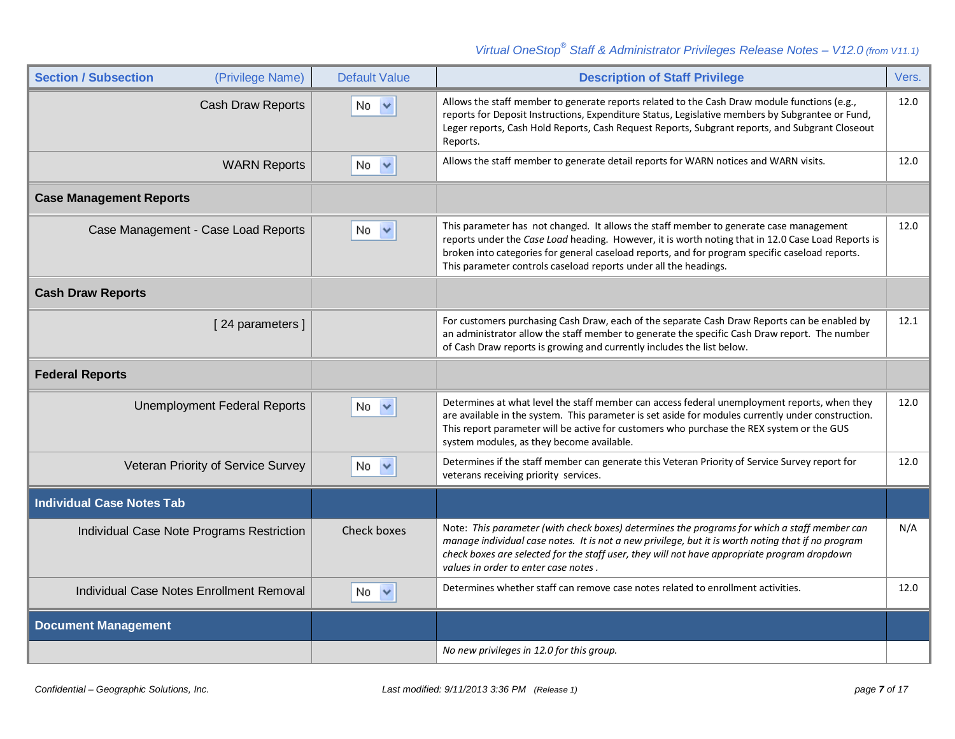| <b>Section / Subsection</b><br>(Privilege Name) | <b>Default Value</b> | <b>Description of Staff Privilege</b>                                                                                                                                                                                                                                                                                                                               | Vers. |
|-------------------------------------------------|----------------------|---------------------------------------------------------------------------------------------------------------------------------------------------------------------------------------------------------------------------------------------------------------------------------------------------------------------------------------------------------------------|-------|
| Cash Draw Reports                               | No <                 | Allows the staff member to generate reports related to the Cash Draw module functions (e.g.,<br>reports for Deposit Instructions, Expenditure Status, Legislative members by Subgrantee or Fund,<br>Leger reports, Cash Hold Reports, Cash Request Reports, Subgrant reports, and Subgrant Closeout<br>Reports.                                                     | 12.0  |
| <b>WARN Reports</b>                             | $No \sim$            | Allows the staff member to generate detail reports for WARN notices and WARN visits.                                                                                                                                                                                                                                                                                | 12.0  |
| <b>Case Management Reports</b>                  |                      |                                                                                                                                                                                                                                                                                                                                                                     |       |
| Case Management - Case Load Reports             | $No \sim$            | This parameter has not changed. It allows the staff member to generate case management<br>reports under the Case Load heading. However, it is worth noting that in 12.0 Case Load Reports is<br>broken into categories for general caseload reports, and for program specific caseload reports.<br>This parameter controls caseload reports under all the headings. | 12.0  |
| <b>Cash Draw Reports</b>                        |                      |                                                                                                                                                                                                                                                                                                                                                                     |       |
| [24 parameters]                                 |                      | For customers purchasing Cash Draw, each of the separate Cash Draw Reports can be enabled by<br>an administrator allow the staff member to generate the specific Cash Draw report. The number<br>of Cash Draw reports is growing and currently includes the list below.                                                                                             | 12.1  |
| <b>Federal Reports</b>                          |                      |                                                                                                                                                                                                                                                                                                                                                                     |       |
| <b>Unemployment Federal Reports</b>             | No.<br>$\checkmark$  | Determines at what level the staff member can access federal unemployment reports, when they<br>are available in the system. This parameter is set aside for modules currently under construction.<br>This report parameter will be active for customers who purchase the REX system or the GUS<br>system modules, as they become available.                        | 12.0  |
| Veteran Priority of Service Survey              | No.<br>$\checkmark$  | Determines if the staff member can generate this Veteran Priority of Service Survey report for<br>veterans receiving priority services.                                                                                                                                                                                                                             | 12.0  |
| <b>Individual Case Notes Tab</b>                |                      |                                                                                                                                                                                                                                                                                                                                                                     |       |
| Individual Case Note Programs Restriction       | Check boxes          | Note: This parameter (with check boxes) determines the programs for which a staff member can<br>manage individual case notes. It is not a new privilege, but it is worth noting that if no program<br>check boxes are selected for the staff user, they will not have appropriate program dropdown<br>values in order to enter case notes.                          | N/A   |
| Individual Case Notes Enrollment Removal        | No.<br>$\checkmark$  | Determines whether staff can remove case notes related to enrollment activities.                                                                                                                                                                                                                                                                                    | 12.0  |
| <b>Document Management</b>                      |                      |                                                                                                                                                                                                                                                                                                                                                                     |       |
|                                                 |                      | No new privileges in 12.0 for this group.                                                                                                                                                                                                                                                                                                                           |       |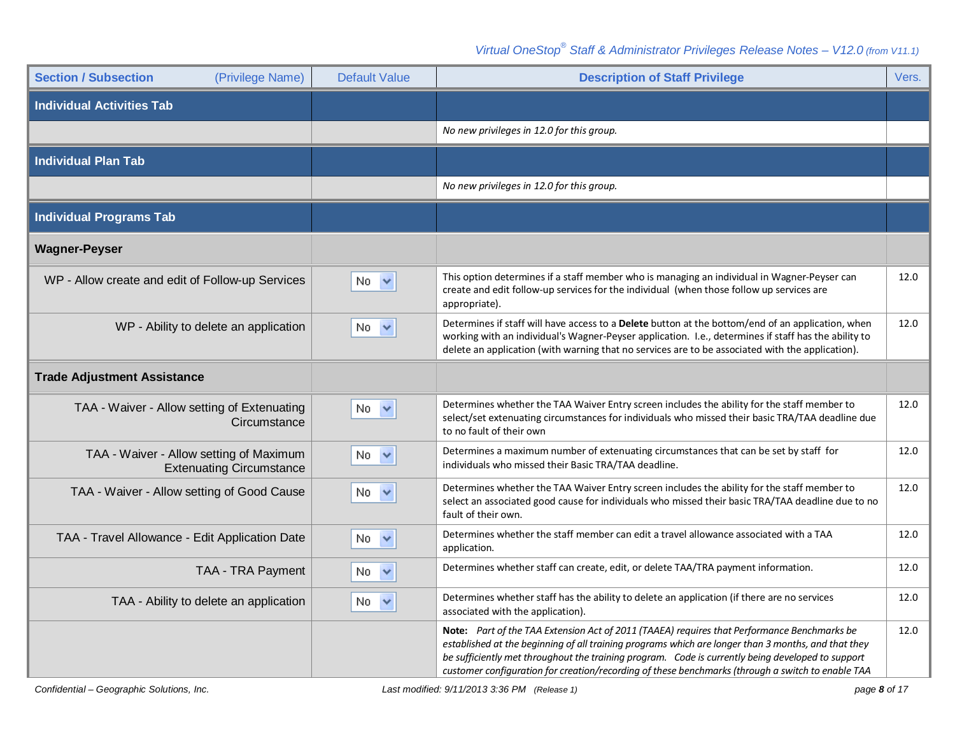| <b>Section / Subsection</b><br>(Privilege Name)                            | <b>Default Value</b> | <b>Description of Staff Privilege</b>                                                                                                                                                                                                                                                                                                                                                                        | Vers. |
|----------------------------------------------------------------------------|----------------------|--------------------------------------------------------------------------------------------------------------------------------------------------------------------------------------------------------------------------------------------------------------------------------------------------------------------------------------------------------------------------------------------------------------|-------|
| <b>Individual Activities Tab</b>                                           |                      |                                                                                                                                                                                                                                                                                                                                                                                                              |       |
|                                                                            |                      | No new privileges in 12.0 for this group.                                                                                                                                                                                                                                                                                                                                                                    |       |
| <b>Individual Plan Tab</b>                                                 |                      |                                                                                                                                                                                                                                                                                                                                                                                                              |       |
|                                                                            |                      | No new privileges in 12.0 for this group.                                                                                                                                                                                                                                                                                                                                                                    |       |
| <b>Individual Programs Tab</b>                                             |                      |                                                                                                                                                                                                                                                                                                                                                                                                              |       |
| <b>Wagner-Peyser</b>                                                       |                      |                                                                                                                                                                                                                                                                                                                                                                                                              |       |
| WP - Allow create and edit of Follow-up Services                           | No.<br>$\checkmark$  | This option determines if a staff member who is managing an individual in Wagner-Peyser can<br>create and edit follow-up services for the individual (when those follow up services are<br>appropriate).                                                                                                                                                                                                     | 12.0  |
| WP - Ability to delete an application                                      | No.<br>$\checkmark$  | Determines if staff will have access to a <b>Delete</b> button at the bottom/end of an application, when<br>working with an individual's Wagner-Peyser application. I.e., determines if staff has the ability to<br>delete an application (with warning that no services are to be associated with the application).                                                                                         | 12.0  |
| <b>Trade Adjustment Assistance</b>                                         |                      |                                                                                                                                                                                                                                                                                                                                                                                                              |       |
| TAA - Waiver - Allow setting of Extenuating<br>Circumstance                | $No \sim$            | Determines whether the TAA Waiver Entry screen includes the ability for the staff member to<br>select/set extenuating circumstances for individuals who missed their basic TRA/TAA deadline due<br>to no fault of their own                                                                                                                                                                                  | 12.0  |
| TAA - Waiver - Allow setting of Maximum<br><b>Extenuating Circumstance</b> | No $\vee$            | Determines a maximum number of extenuating circumstances that can be set by staff for<br>individuals who missed their Basic TRA/TAA deadline.                                                                                                                                                                                                                                                                | 12.0  |
| TAA - Waiver - Allow setting of Good Cause                                 | No.<br>$\checkmark$  | Determines whether the TAA Waiver Entry screen includes the ability for the staff member to<br>select an associated good cause for individuals who missed their basic TRA/TAA deadline due to no<br>fault of their own.                                                                                                                                                                                      | 12.0  |
| TAA - Travel Allowance - Edit Application Date                             | No $\vee$            | Determines whether the staff member can edit a travel allowance associated with a TAA<br>application.                                                                                                                                                                                                                                                                                                        | 12.0  |
| TAA - TRA Payment                                                          | No.<br>$\checkmark$  | Determines whether staff can create, edit, or delete TAA/TRA payment information.                                                                                                                                                                                                                                                                                                                            | 12.0  |
| TAA - Ability to delete an application                                     | $No \sim$            | Determines whether staff has the ability to delete an application (if there are no services<br>associated with the application).                                                                                                                                                                                                                                                                             | 12.0  |
|                                                                            |                      | Note: Part of the TAA Extension Act of 2011 (TAAEA) requires that Performance Benchmarks be<br>established at the beginning of all training programs which are longer than 3 months, and that they<br>be sufficiently met throughout the training program. Code is currently being developed to support<br>customer configuration for creation/recording of these benchmarks (through a switch to enable TAA | 12.0  |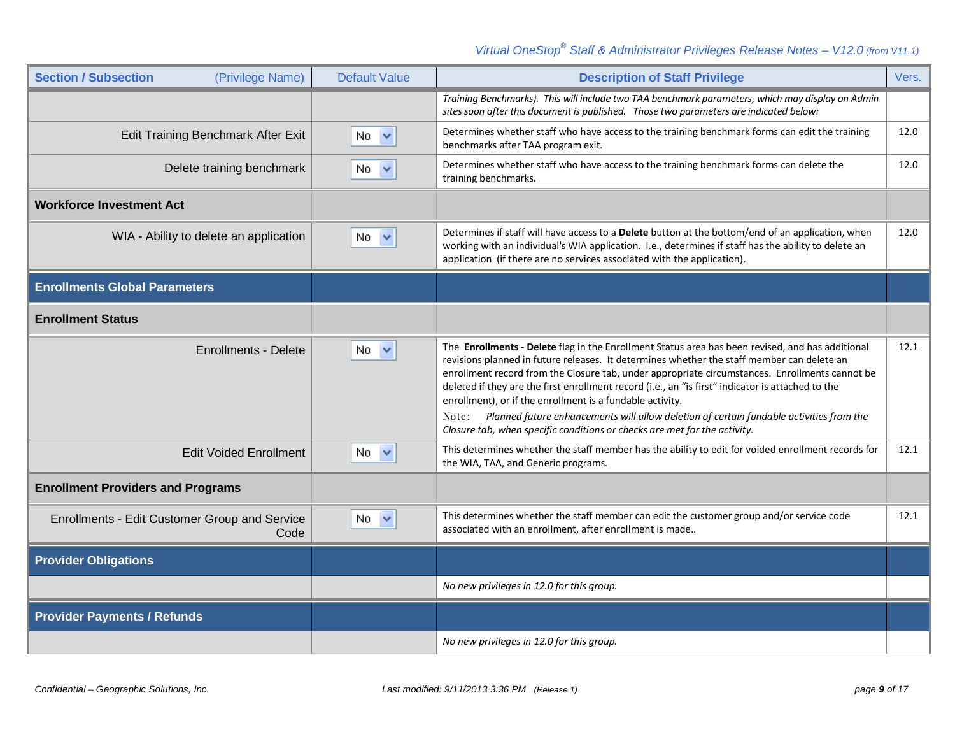| <b>Section / Subsection</b><br>(Privilege Name)       | <b>Default Value</b> | <b>Description of Staff Privilege</b>                                                                                                                                                                                                                                                                                                                                                                                                                                                                                                                                                                                                            | Vers. |
|-------------------------------------------------------|----------------------|--------------------------------------------------------------------------------------------------------------------------------------------------------------------------------------------------------------------------------------------------------------------------------------------------------------------------------------------------------------------------------------------------------------------------------------------------------------------------------------------------------------------------------------------------------------------------------------------------------------------------------------------------|-------|
|                                                       |                      | Training Benchmarks). This will include two TAA benchmark parameters, which may display on Admin<br>sites soon after this document is published. Those two parameters are indicated below:                                                                                                                                                                                                                                                                                                                                                                                                                                                       |       |
| Edit Training Benchmark After Exit                    | $No \nightharpoonup$ | Determines whether staff who have access to the training benchmark forms can edit the training<br>benchmarks after TAA program exit.                                                                                                                                                                                                                                                                                                                                                                                                                                                                                                             | 12.0  |
| Delete training benchmark                             | No.<br>$\checkmark$  | Determines whether staff who have access to the training benchmark forms can delete the<br>training benchmarks.                                                                                                                                                                                                                                                                                                                                                                                                                                                                                                                                  | 12.0  |
| <b>Workforce Investment Act</b>                       |                      |                                                                                                                                                                                                                                                                                                                                                                                                                                                                                                                                                                                                                                                  |       |
| WIA - Ability to delete an application                | $No \sim$            | Determines if staff will have access to a Delete button at the bottom/end of an application, when<br>working with an individual's WIA application. I.e., determines if staff has the ability to delete an<br>application (if there are no services associated with the application).                                                                                                                                                                                                                                                                                                                                                             | 12.0  |
| <b>Enrollments Global Parameters</b>                  |                      |                                                                                                                                                                                                                                                                                                                                                                                                                                                                                                                                                                                                                                                  |       |
| <b>Enrollment Status</b>                              |                      |                                                                                                                                                                                                                                                                                                                                                                                                                                                                                                                                                                                                                                                  |       |
| <b>Enrollments - Delete</b>                           | $No \sim$            | The Enrollments - Delete flag in the Enrollment Status area has been revised, and has additional<br>revisions planned in future releases. It determines whether the staff member can delete an<br>enrollment record from the Closure tab, under appropriate circumstances. Enrollments cannot be<br>deleted if they are the first enrollment record (i.e., an "is first" indicator is attached to the<br>enrollment), or if the enrollment is a fundable activity.<br>Note: Planned future enhancements will allow deletion of certain fundable activities from the<br>Closure tab, when specific conditions or checks are met for the activity. | 12.1  |
| <b>Edit Voided Enrollment</b>                         | $No \nightharpoonup$ | This determines whether the staff member has the ability to edit for voided enrollment records for<br>the WIA, TAA, and Generic programs.                                                                                                                                                                                                                                                                                                                                                                                                                                                                                                        | 12.1  |
| <b>Enrollment Providers and Programs</b>              |                      |                                                                                                                                                                                                                                                                                                                                                                                                                                                                                                                                                                                                                                                  |       |
| Enrollments - Edit Customer Group and Service<br>Code | $No \sim$            | This determines whether the staff member can edit the customer group and/or service code<br>associated with an enrollment, after enrollment is made                                                                                                                                                                                                                                                                                                                                                                                                                                                                                              | 12.1  |
| <b>Provider Obligations</b>                           |                      |                                                                                                                                                                                                                                                                                                                                                                                                                                                                                                                                                                                                                                                  |       |
|                                                       |                      | No new privileges in 12.0 for this group.                                                                                                                                                                                                                                                                                                                                                                                                                                                                                                                                                                                                        |       |
| <b>Provider Payments / Refunds</b>                    |                      |                                                                                                                                                                                                                                                                                                                                                                                                                                                                                                                                                                                                                                                  |       |
|                                                       |                      | No new privileges in 12.0 for this group.                                                                                                                                                                                                                                                                                                                                                                                                                                                                                                                                                                                                        |       |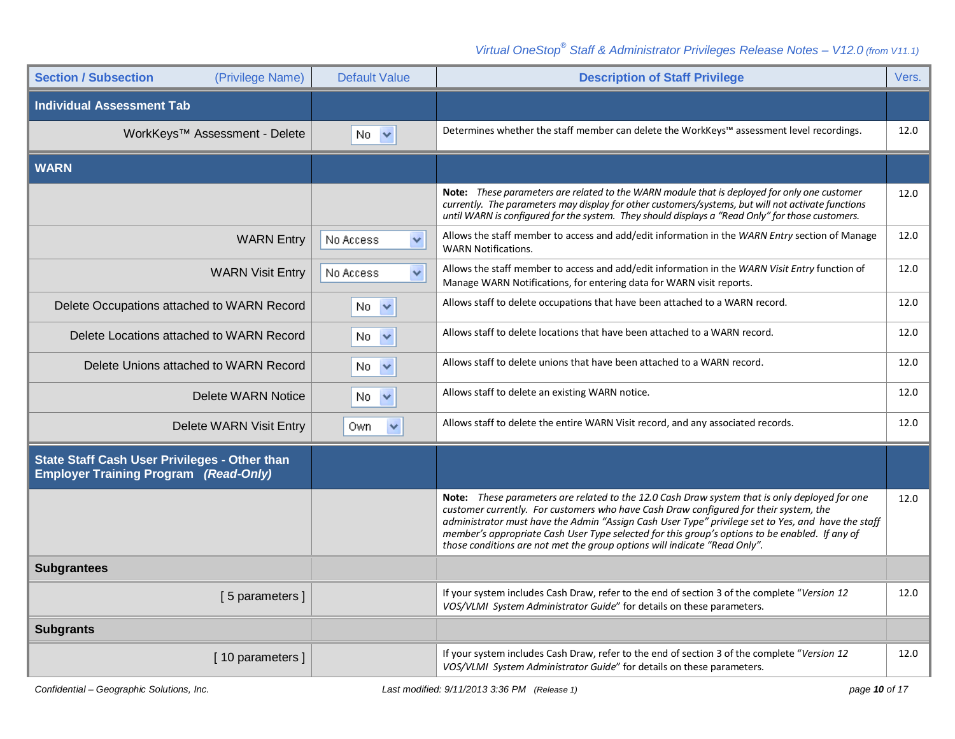| <b>Section / Subsection</b><br>(Privilege Name)                                                      | <b>Default Value</b> | <b>Description of Staff Privilege</b>                                                                                                                                                                                                                                                                                                                                                                                                                                              | Vers. |
|------------------------------------------------------------------------------------------------------|----------------------|------------------------------------------------------------------------------------------------------------------------------------------------------------------------------------------------------------------------------------------------------------------------------------------------------------------------------------------------------------------------------------------------------------------------------------------------------------------------------------|-------|
| <b>Individual Assessment Tab</b>                                                                     |                      |                                                                                                                                                                                                                                                                                                                                                                                                                                                                                    |       |
| WorkKeys™ Assessment - Delete                                                                        | $No \sim$            | Determines whether the staff member can delete the WorkKeys™ assessment level recordings.                                                                                                                                                                                                                                                                                                                                                                                          | 12.0  |
| <b>WARN</b>                                                                                          |                      |                                                                                                                                                                                                                                                                                                                                                                                                                                                                                    |       |
|                                                                                                      |                      | <b>Note:</b> These parameters are related to the WARN module that is deployed for only one customer<br>currently. The parameters may display for other customers/systems, but will not activate functions<br>until WARN is configured for the system. They should displays a "Read Only" for those customers.                                                                                                                                                                      | 12.0  |
| <b>WARN Entry</b>                                                                                    | Y<br>No Access       | Allows the staff member to access and add/edit information in the WARN Entry section of Manage<br><b>WARN Notifications.</b>                                                                                                                                                                                                                                                                                                                                                       | 12.0  |
| <b>WARN Visit Entry</b>                                                                              | Y<br>No Access       | Allows the staff member to access and add/edit information in the WARN Visit Entry function of<br>Manage WARN Notifications, for entering data for WARN visit reports.                                                                                                                                                                                                                                                                                                             | 12.0  |
| Delete Occupations attached to WARN Record                                                           | No.<br>$\checkmark$  | Allows staff to delete occupations that have been attached to a WARN record.                                                                                                                                                                                                                                                                                                                                                                                                       | 12.0  |
| Delete Locations attached to WARN Record                                                             | $\checkmark$<br>No.  | Allows staff to delete locations that have been attached to a WARN record.                                                                                                                                                                                                                                                                                                                                                                                                         | 12.0  |
| Delete Unions attached to WARN Record                                                                | $No \nightharpoonup$ | Allows staff to delete unions that have been attached to a WARN record.                                                                                                                                                                                                                                                                                                                                                                                                            | 12.0  |
| <b>Delete WARN Notice</b>                                                                            | No.<br>$\checkmark$  | Allows staff to delete an existing WARN notice.                                                                                                                                                                                                                                                                                                                                                                                                                                    | 12.0  |
| Delete WARN Visit Entry                                                                              | Own.<br>$\checkmark$ | Allows staff to delete the entire WARN Visit record, and any associated records.                                                                                                                                                                                                                                                                                                                                                                                                   | 12.0  |
| <b>State Staff Cash User Privileges - Other than</b><br><b>Employer Training Program (Read-Only)</b> |                      |                                                                                                                                                                                                                                                                                                                                                                                                                                                                                    |       |
|                                                                                                      |                      | <b>Note:</b> These parameters are related to the 12.0 Cash Draw system that is only deployed for one<br>customer currently. For customers who have Cash Draw configured for their system, the<br>administrator must have the Admin "Assign Cash User Type" privilege set to Yes, and have the staff<br>member's appropriate Cash User Type selected for this group's options to be enabled. If any of<br>those conditions are not met the group options will indicate "Read Only". | 12.0  |
| <b>Subgrantees</b>                                                                                   |                      |                                                                                                                                                                                                                                                                                                                                                                                                                                                                                    |       |
| [5 parameters]                                                                                       |                      | If your system includes Cash Draw, refer to the end of section 3 of the complete "Version 12<br>VOS/VLMI System Administrator Guide" for details on these parameters.                                                                                                                                                                                                                                                                                                              | 12.0  |
| <b>Subgrants</b>                                                                                     |                      |                                                                                                                                                                                                                                                                                                                                                                                                                                                                                    |       |
| [10 parameters]                                                                                      |                      | If your system includes Cash Draw, refer to the end of section 3 of the complete "Version 12<br>VOS/VLMI System Administrator Guide" for details on these parameters.                                                                                                                                                                                                                                                                                                              | 12.0  |
|                                                                                                      |                      |                                                                                                                                                                                                                                                                                                                                                                                                                                                                                    |       |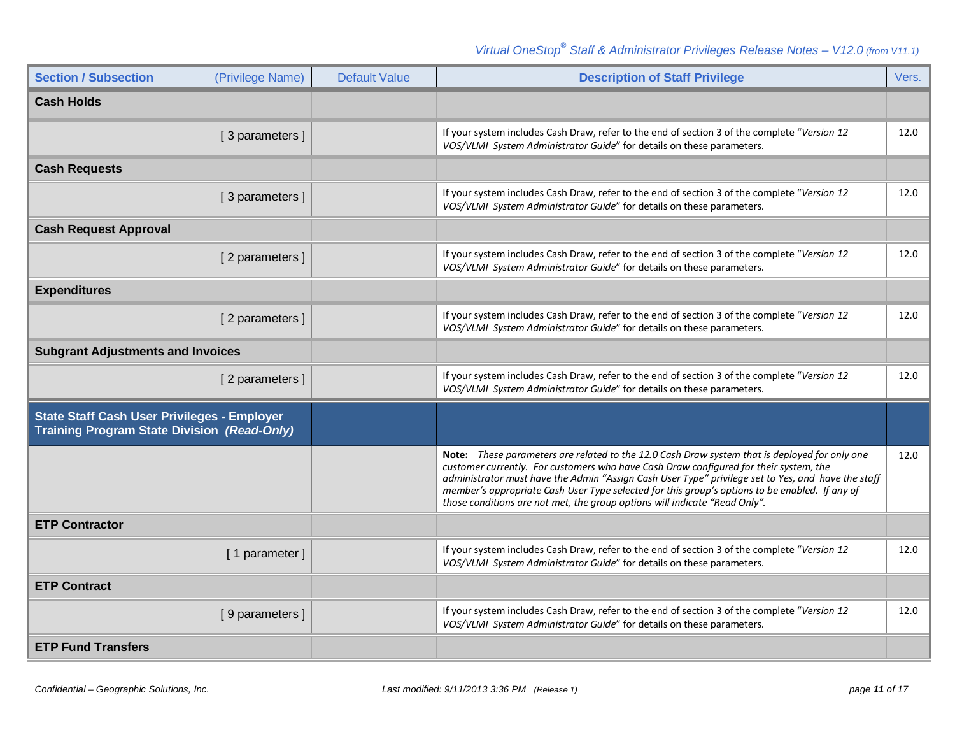| <b>Section / Subsection</b><br>(Privilege Name)                                                          | <b>Default Value</b> | <b>Description of Staff Privilege</b>                                                                                                                                                                                                                                                                                                                                                                                                                                        | Vers. |
|----------------------------------------------------------------------------------------------------------|----------------------|------------------------------------------------------------------------------------------------------------------------------------------------------------------------------------------------------------------------------------------------------------------------------------------------------------------------------------------------------------------------------------------------------------------------------------------------------------------------------|-------|
| <b>Cash Holds</b>                                                                                        |                      |                                                                                                                                                                                                                                                                                                                                                                                                                                                                              |       |
| [3 parameters]                                                                                           |                      | If your system includes Cash Draw, refer to the end of section 3 of the complete "Version 12<br>VOS/VLMI System Administrator Guide" for details on these parameters.                                                                                                                                                                                                                                                                                                        | 12.0  |
| <b>Cash Requests</b>                                                                                     |                      |                                                                                                                                                                                                                                                                                                                                                                                                                                                                              |       |
| [3 parameters]                                                                                           |                      | If your system includes Cash Draw, refer to the end of section 3 of the complete "Version 12<br>VOS/VLMI System Administrator Guide" for details on these parameters.                                                                                                                                                                                                                                                                                                        | 12.0  |
| <b>Cash Request Approval</b>                                                                             |                      |                                                                                                                                                                                                                                                                                                                                                                                                                                                                              |       |
| [2 parameters]                                                                                           |                      | If your system includes Cash Draw, refer to the end of section 3 of the complete "Version 12<br>VOS/VLMI System Administrator Guide" for details on these parameters.                                                                                                                                                                                                                                                                                                        | 12.0  |
| <b>Expenditures</b>                                                                                      |                      |                                                                                                                                                                                                                                                                                                                                                                                                                                                                              |       |
| [2 parameters]                                                                                           |                      | If your system includes Cash Draw, refer to the end of section 3 of the complete "Version 12<br>VOS/VLMI System Administrator Guide" for details on these parameters.                                                                                                                                                                                                                                                                                                        | 12.0  |
| <b>Subgrant Adjustments and Invoices</b>                                                                 |                      |                                                                                                                                                                                                                                                                                                                                                                                                                                                                              |       |
| [2 parameters]                                                                                           |                      | If your system includes Cash Draw, refer to the end of section 3 of the complete "Version 12<br>VOS/VLMI System Administrator Guide" for details on these parameters.                                                                                                                                                                                                                                                                                                        | 12.0  |
| <b>State Staff Cash User Privileges - Employer</b><br><b>Training Program State Division (Read-Only)</b> |                      |                                                                                                                                                                                                                                                                                                                                                                                                                                                                              |       |
|                                                                                                          |                      | Note: These parameters are related to the 12.0 Cash Draw system that is deployed for only one<br>customer currently. For customers who have Cash Draw configured for their system, the<br>administrator must have the Admin "Assign Cash User Type" privilege set to Yes, and have the staff<br>member's appropriate Cash User Type selected for this group's options to be enabled. If any of<br>those conditions are not met, the group options will indicate "Read Only". | 12.0  |
| <b>ETP Contractor</b>                                                                                    |                      |                                                                                                                                                                                                                                                                                                                                                                                                                                                                              |       |
| [1 parameter]                                                                                            |                      | If your system includes Cash Draw, refer to the end of section 3 of the complete "Version 12<br>VOS/VLMI System Administrator Guide" for details on these parameters.                                                                                                                                                                                                                                                                                                        | 12.0  |
| <b>ETP Contract</b>                                                                                      |                      |                                                                                                                                                                                                                                                                                                                                                                                                                                                                              |       |
| [9 parameters]                                                                                           |                      | If your system includes Cash Draw, refer to the end of section 3 of the complete "Version 12<br>VOS/VLMI System Administrator Guide" for details on these parameters.                                                                                                                                                                                                                                                                                                        | 12.0  |
| <b>ETP Fund Transfers</b>                                                                                |                      |                                                                                                                                                                                                                                                                                                                                                                                                                                                                              |       |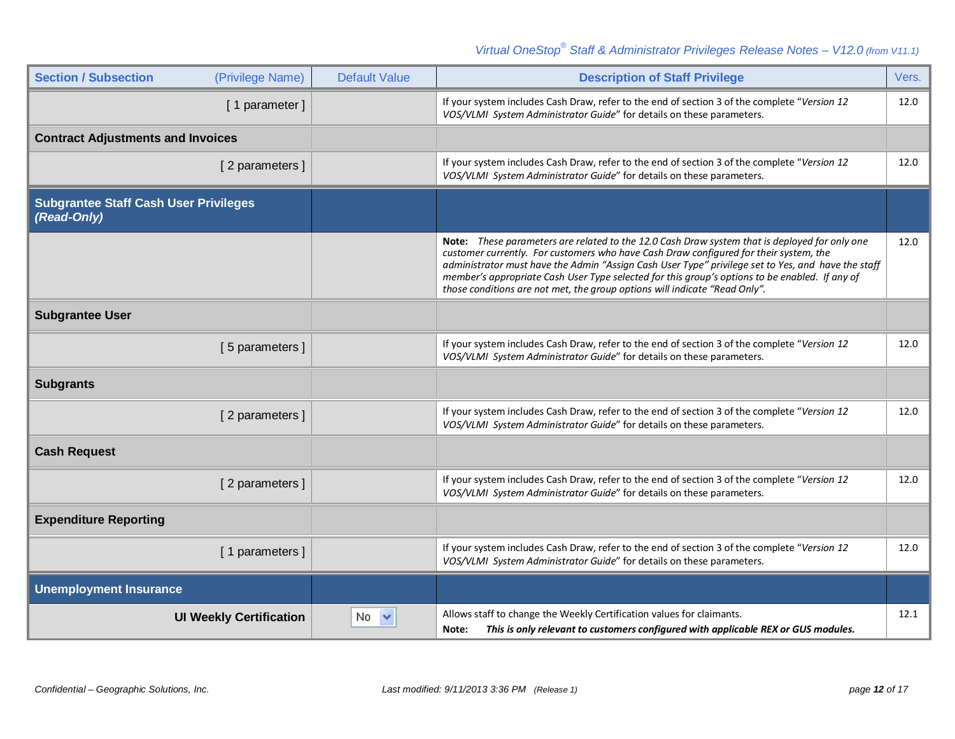| <b>Section / Subsection</b>                                 | (Privilege Name) | <b>Default Value</b> | <b>Description of Staff Privilege</b>                                                                                                                                                                                                                                                                                                                                                                                                                                        | Vers. |
|-------------------------------------------------------------|------------------|----------------------|------------------------------------------------------------------------------------------------------------------------------------------------------------------------------------------------------------------------------------------------------------------------------------------------------------------------------------------------------------------------------------------------------------------------------------------------------------------------------|-------|
|                                                             | [1 parameter]    |                      | If your system includes Cash Draw, refer to the end of section 3 of the complete "Version 12<br>VOS/VLMI System Administrator Guide" for details on these parameters.                                                                                                                                                                                                                                                                                                        | 12.0  |
| <b>Contract Adjustments and Invoices</b>                    |                  |                      |                                                                                                                                                                                                                                                                                                                                                                                                                                                                              |       |
|                                                             | [2 parameters]   |                      | If your system includes Cash Draw, refer to the end of section 3 of the complete "Version 12<br>VOS/VLMI System Administrator Guide" for details on these parameters.                                                                                                                                                                                                                                                                                                        | 12.0  |
| <b>Subgrantee Staff Cash User Privileges</b><br>(Read-Only) |                  |                      |                                                                                                                                                                                                                                                                                                                                                                                                                                                                              |       |
|                                                             |                  |                      | Note: These parameters are related to the 12.0 Cash Draw system that is deployed for only one<br>customer currently. For customers who have Cash Draw configured for their system, the<br>administrator must have the Admin "Assign Cash User Type" privilege set to Yes, and have the staff<br>member's appropriate Cash User Type selected for this group's options to be enabled. If any of<br>those conditions are not met, the group options will indicate "Read Only". | 12.0  |
| <b>Subgrantee User</b>                                      |                  |                      |                                                                                                                                                                                                                                                                                                                                                                                                                                                                              |       |
|                                                             | [5 parameters]   |                      | If your system includes Cash Draw, refer to the end of section 3 of the complete "Version 12<br>VOS/VLMI System Administrator Guide" for details on these parameters.                                                                                                                                                                                                                                                                                                        | 12.0  |
| <b>Subgrants</b>                                            |                  |                      |                                                                                                                                                                                                                                                                                                                                                                                                                                                                              |       |
|                                                             | [2 parameters]   |                      | If your system includes Cash Draw, refer to the end of section 3 of the complete "Version 12<br>VOS/VLMI System Administrator Guide" for details on these parameters.                                                                                                                                                                                                                                                                                                        | 12.0  |
| <b>Cash Request</b>                                         |                  |                      |                                                                                                                                                                                                                                                                                                                                                                                                                                                                              |       |
|                                                             | [2 parameters]   |                      | If your system includes Cash Draw, refer to the end of section 3 of the complete "Version 12<br>VOS/VLMI System Administrator Guide" for details on these parameters.                                                                                                                                                                                                                                                                                                        | 12.0  |
| <b>Expenditure Reporting</b>                                |                  |                      |                                                                                                                                                                                                                                                                                                                                                                                                                                                                              |       |
|                                                             | [1 parameters]   |                      | If your system includes Cash Draw, refer to the end of section 3 of the complete "Version 12<br>VOS/VLMI System Administrator Guide" for details on these parameters.                                                                                                                                                                                                                                                                                                        | 12.0  |
| <b>Unemployment Insurance</b>                               |                  |                      |                                                                                                                                                                                                                                                                                                                                                                                                                                                                              |       |
| <b>UI Weekly Certification</b>                              |                  | No.                  | Allows staff to change the Weekly Certification values for claimants.<br>This is only relevant to customers configured with applicable REX or GUS modules.<br>Note:                                                                                                                                                                                                                                                                                                          | 12.1  |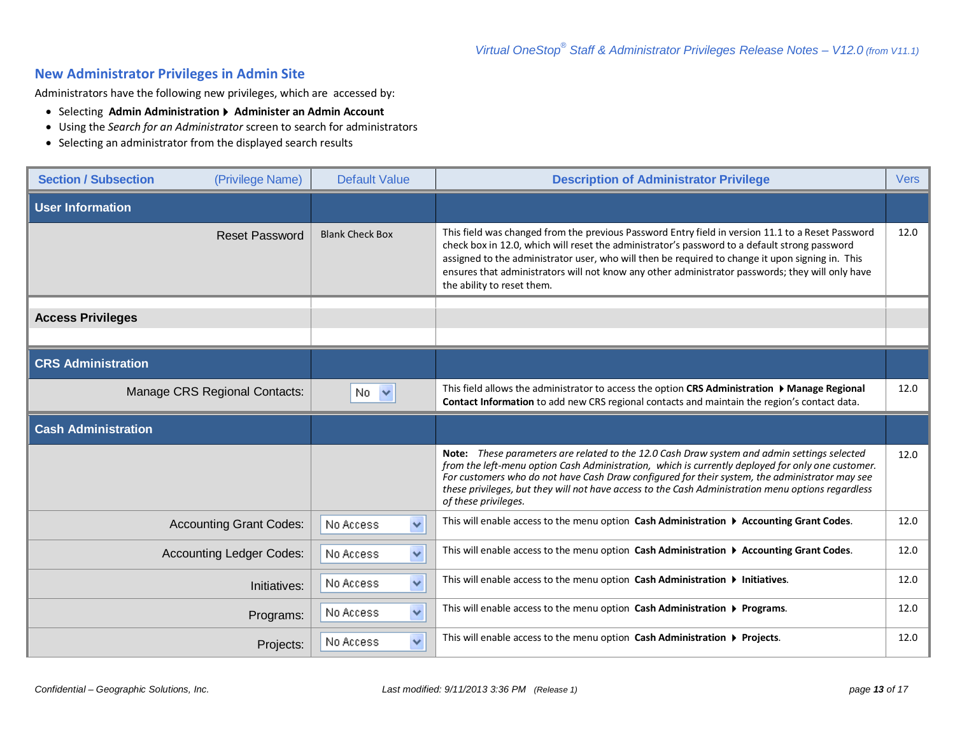#### **New Administrator Privileges in Admin Site**

Administrators have the following new privileges, which are accessed by:

- Selecting **Admin Administration Administer an Admin Account**
- Using the *Search for an Administrator* screen to search for administrators
- Selecting an administrator from the displayed search results

| <b>Section / Subsection</b> | (Privilege Name)                | <b>Default Value</b>      | <b>Description of Administrator Privilege</b>                                                                                                                                                                                                                                                                                                                                                                                            | <b>Vers</b> |
|-----------------------------|---------------------------------|---------------------------|------------------------------------------------------------------------------------------------------------------------------------------------------------------------------------------------------------------------------------------------------------------------------------------------------------------------------------------------------------------------------------------------------------------------------------------|-------------|
| <b>User Information</b>     |                                 |                           |                                                                                                                                                                                                                                                                                                                                                                                                                                          |             |
|                             | <b>Reset Password</b>           | <b>Blank Check Box</b>    | This field was changed from the previous Password Entry field in version 11.1 to a Reset Password<br>check box in 12.0, which will reset the administrator's password to a default strong password<br>assigned to the administrator user, who will then be required to change it upon signing in. This<br>ensures that administrators will not know any other administrator passwords; they will only have<br>the ability to reset them. | 12.0        |
| <b>Access Privileges</b>    |                                 |                           |                                                                                                                                                                                                                                                                                                                                                                                                                                          |             |
|                             |                                 |                           |                                                                                                                                                                                                                                                                                                                                                                                                                                          |             |
| <b>CRS Administration</b>   |                                 |                           |                                                                                                                                                                                                                                                                                                                                                                                                                                          |             |
|                             | Manage CRS Regional Contacts:   | $No \sim$                 | This field allows the administrator to access the option CRS Administration > Manage Regional<br>Contact Information to add new CRS regional contacts and maintain the region's contact data.                                                                                                                                                                                                                                            | 12.0        |
|                             |                                 |                           |                                                                                                                                                                                                                                                                                                                                                                                                                                          |             |
| <b>Cash Administration</b>  |                                 |                           |                                                                                                                                                                                                                                                                                                                                                                                                                                          |             |
|                             |                                 |                           | Note: These parameters are related to the 12.0 Cash Draw system and admin settings selected<br>from the left-menu option Cash Administration, which is currently deployed for only one customer.<br>For customers who do not have Cash Draw configured for their system, the administrator may see<br>these privileges, but they will not have access to the Cash Administration menu options regardless<br>of these privileges.         | 12.0        |
|                             | <b>Accounting Grant Codes:</b>  | $\checkmark$<br>No Access | This will enable access to the menu option Cash Administration ▶ Accounting Grant Codes.                                                                                                                                                                                                                                                                                                                                                 | 12.0        |
|                             | <b>Accounting Ledger Codes:</b> | $\checkmark$<br>No Access | This will enable access to the menu option Cash Administration > Accounting Grant Codes.                                                                                                                                                                                                                                                                                                                                                 | 12.0        |
|                             | Initiatives:                    | $\checkmark$<br>No Access | This will enable access to the menu option Cash Administration > Initiatives.                                                                                                                                                                                                                                                                                                                                                            | 12.0        |
|                             | Programs:                       | ×<br>No Access            | This will enable access to the menu option Cash Administration > Programs.                                                                                                                                                                                                                                                                                                                                                               | 12.0        |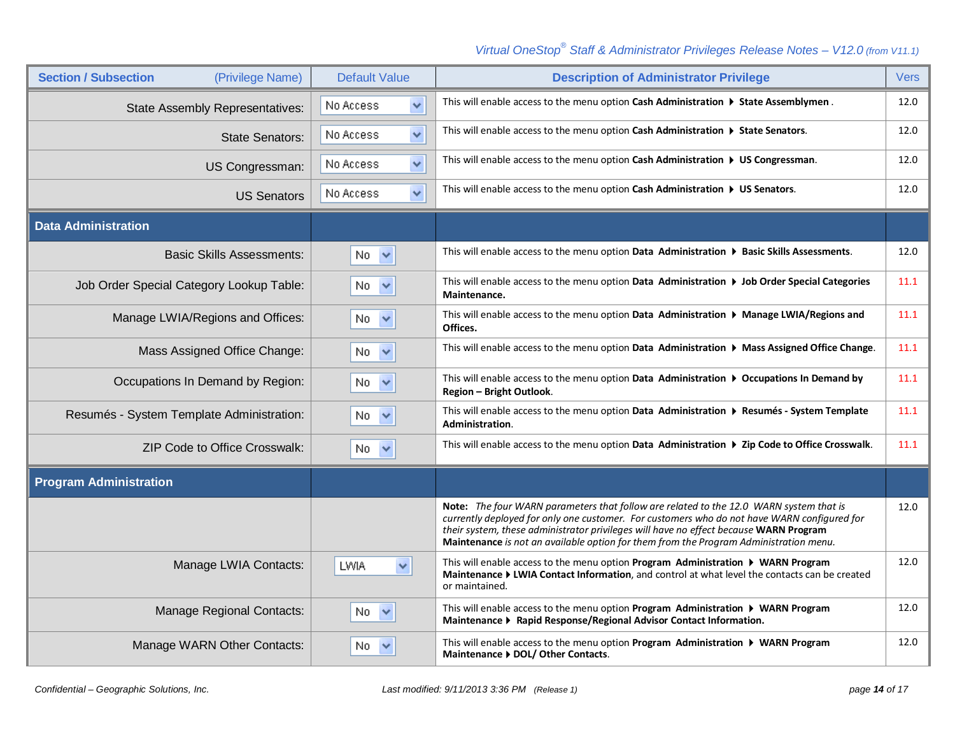| <b>Section / Subsection</b><br>(Privilege Name) | <b>Default Value</b>      | <b>Description of Administrator Privilege</b>                                                                                                                                                                                                                                                                                                                           | <b>Vers</b> |
|-------------------------------------------------|---------------------------|-------------------------------------------------------------------------------------------------------------------------------------------------------------------------------------------------------------------------------------------------------------------------------------------------------------------------------------------------------------------------|-------------|
| <b>State Assembly Representatives:</b>          | $\checkmark$<br>No Access | This will enable access to the menu option Cash Administration $\triangleright$ State Assemblymen.                                                                                                                                                                                                                                                                      | 12.0        |
| <b>State Senators:</b>                          | $\checkmark$<br>No Access | This will enable access to the menu option Cash Administration > State Senators.                                                                                                                                                                                                                                                                                        | 12.0        |
| US Congressman:                                 | $\checkmark$<br>No Access | This will enable access to the menu option Cash Administration > US Congressman.                                                                                                                                                                                                                                                                                        | 12.0        |
| <b>US Senators</b>                              | $\checkmark$<br>No Access | This will enable access to the menu option Cash Administration $\triangleright$ US Senators.                                                                                                                                                                                                                                                                            | 12.0        |
| <b>Data Administration</b>                      |                           |                                                                                                                                                                                                                                                                                                                                                                         |             |
| <b>Basic Skills Assessments:</b>                | $No \sim$                 | This will enable access to the menu option Data Administration ▶ Basic Skills Assessments.                                                                                                                                                                                                                                                                              | 12.0        |
| Job Order Special Category Lookup Table:        | No $\vee$                 | This will enable access to the menu option Data Administration ▶ Job Order Special Categories<br>Maintenance.                                                                                                                                                                                                                                                           | 11.1        |
| Manage LWIA/Regions and Offices:                | $No \sim$                 | This will enable access to the menu option Data Administration > Manage LWIA/Regions and<br>Offices.                                                                                                                                                                                                                                                                    | 11.1        |
| Mass Assigned Office Change:                    | No $\vee$                 | This will enable access to the menu option Data Administration $\triangleright$ Mass Assigned Office Change.                                                                                                                                                                                                                                                            | 11.1        |
| Occupations In Demand by Region:                | No $\vee$                 | This will enable access to the menu option Data Administration $\triangleright$ Occupations In Demand by<br>Region - Bright Outlook.                                                                                                                                                                                                                                    | 11.1        |
| Resumés - System Template Administration:       | No.<br>$\checkmark$       | This will enable access to the menu option Data Administration ▶ Resumés - System Template<br>Administration.                                                                                                                                                                                                                                                           | 11.1        |
| <b>ZIP Code to Office Crosswalk:</b>            | No<br>$\checkmark$        | This will enable access to the menu option Data Administration ▶ Zip Code to Office Crosswalk.                                                                                                                                                                                                                                                                          | 11.1        |
| <b>Program Administration</b>                   |                           |                                                                                                                                                                                                                                                                                                                                                                         |             |
|                                                 |                           | Note: The four WARN parameters that follow are related to the 12.0 WARN system that is<br>currently deployed for only one customer. For customers who do not have WARN configured for<br>their system, these administrator privileges will have no effect because WARN Program<br>Maintenance is not an available option for them from the Program Administration menu. | 12.0        |
| Manage LWIA Contacts:                           | LWIA<br>×                 | This will enable access to the menu option <b>Program Administration <math>\triangleright</math> WARN Program</b><br>Maintenance ▶ LWIA Contact Information, and control at what level the contacts can be created<br>or maintained.                                                                                                                                    | 12.0        |
| <b>Manage Regional Contacts:</b>                | No.<br>$\checkmark$       | This will enable access to the menu option Program Administration > WARN Program<br>Maintenance > Rapid Response/Regional Advisor Contact Information.                                                                                                                                                                                                                  | 12.0        |
| Manage WARN Other Contacts:                     | No.<br>$\checkmark$       | This will enable access to the menu option <b>Program Administration <math>\triangleright</math> WARN Program</b><br>Maintenance ▶ DOL/ Other Contacts.                                                                                                                                                                                                                 | 12.0        |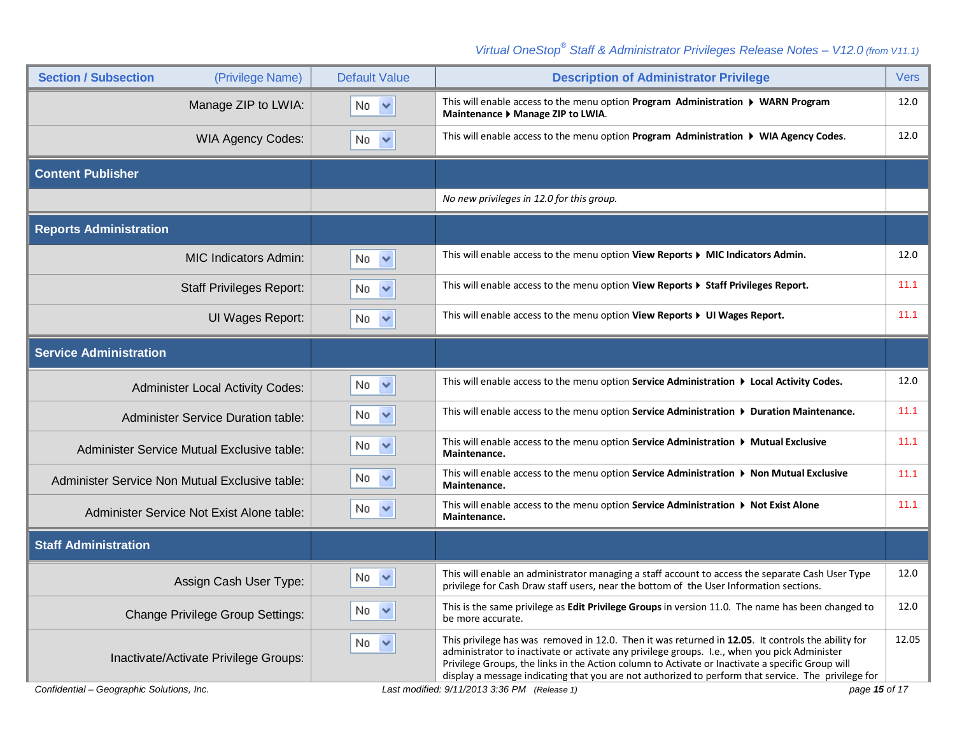| <b>Section / Subsection</b><br>(Privilege Name) | <b>Default Value</b> | <b>Description of Administrator Privilege</b>                                                                                                                                                                                                                                                                                                                                                                 | <b>Vers</b> |
|-------------------------------------------------|----------------------|---------------------------------------------------------------------------------------------------------------------------------------------------------------------------------------------------------------------------------------------------------------------------------------------------------------------------------------------------------------------------------------------------------------|-------------|
| Manage ZIP to LWIA:                             | $No \sim$            | This will enable access to the menu option Program Administration ▶ WARN Program<br>Maintenance ▶ Manage ZIP to LWIA.                                                                                                                                                                                                                                                                                         | 12.0        |
| <b>WIA Agency Codes:</b>                        | No<br>$\checkmark$   | This will enable access to the menu option Program Administration ▶ WIA Agency Codes.                                                                                                                                                                                                                                                                                                                         | 12.0        |
| <b>Content Publisher</b>                        |                      |                                                                                                                                                                                                                                                                                                                                                                                                               |             |
|                                                 |                      | No new privileges in 12.0 for this group.                                                                                                                                                                                                                                                                                                                                                                     |             |
| <b>Reports Administration</b>                   |                      |                                                                                                                                                                                                                                                                                                                                                                                                               |             |
| <b>MIC Indicators Admin:</b>                    | No.<br>$\checkmark$  | This will enable access to the menu option View Reports > MIC Indicators Admin.                                                                                                                                                                                                                                                                                                                               | 12.0        |
| <b>Staff Privileges Report:</b>                 | $No \sim$            | This will enable access to the menu option View Reports > Staff Privileges Report.                                                                                                                                                                                                                                                                                                                            | 11.1        |
| UI Wages Report:                                | No.<br>$\checkmark$  | This will enable access to the menu option View Reports > UI Wages Report.                                                                                                                                                                                                                                                                                                                                    | 11.1        |
| <b>Service Administration</b>                   |                      |                                                                                                                                                                                                                                                                                                                                                                                                               |             |
| <b>Administer Local Activity Codes:</b>         | $No \sim$            | This will enable access to the menu option Service Administration $\triangleright$ Local Activity Codes.                                                                                                                                                                                                                                                                                                      | 12.0        |
| <b>Administer Service Duration table:</b>       | $No \nightharpoonup$ | This will enable access to the menu option Service Administration ▶ Duration Maintenance.                                                                                                                                                                                                                                                                                                                     | 11.1        |
| Administer Service Mutual Exclusive table:      | No.<br>$\checkmark$  | This will enable access to the menu option Service Administration $\triangleright$ Mutual Exclusive<br>Maintenance.                                                                                                                                                                                                                                                                                           | 11.1        |
| Administer Service Non Mutual Exclusive table:  | $No \sim$            | This will enable access to the menu option Service Administration ▶ Non Mutual Exclusive<br>Maintenance.                                                                                                                                                                                                                                                                                                      | 11.1        |
| Administer Service Not Exist Alone table:       | $No \sim$            | This will enable access to the menu option Service Administration ▶ Not Exist Alone<br>Maintenance.                                                                                                                                                                                                                                                                                                           | 11.1        |
| <b>Staff Administration</b>                     |                      |                                                                                                                                                                                                                                                                                                                                                                                                               |             |
| Assign Cash User Type:                          | No $\vee$            | This will enable an administrator managing a staff account to access the separate Cash User Type<br>privilege for Cash Draw staff users, near the bottom of the User Information sections.                                                                                                                                                                                                                    | 12.0        |
| <b>Change Privilege Group Settings:</b>         | No $\vee$            | This is the same privilege as Edit Privilege Groups in version 11.0. The name has been changed to<br>be more accurate.                                                                                                                                                                                                                                                                                        | 12.0        |
| Inactivate/Activate Privilege Groups:           | No $\vee$            | This privilege has was removed in 12.0. Then it was returned in 12.05. It controls the ability for<br>administrator to inactivate or activate any privilege groups. I.e., when you pick Administer<br>Privilege Groups, the links in the Action column to Activate or Inactivate a specific Group will<br>display a message indicating that you are not authorized to perform that service. The privilege for | 12.05       |
| Confidential – Geographic Solutions, Inc.       |                      | Last modified: 9/11/2013 3:36 PM (Release 1)<br>page 15 of 17                                                                                                                                                                                                                                                                                                                                                 |             |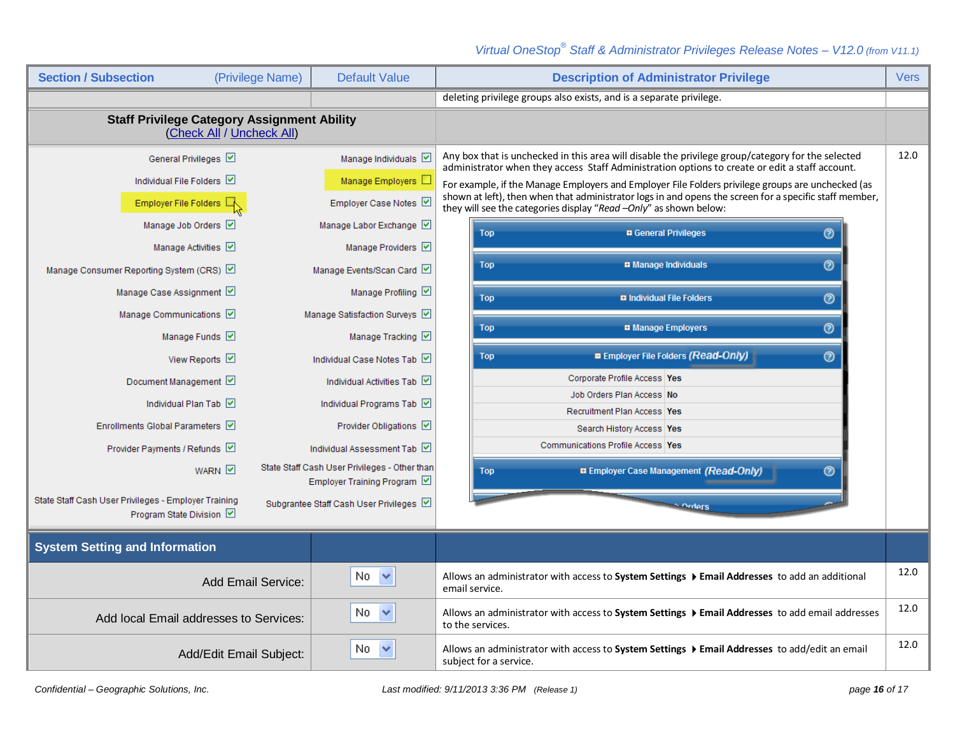| <b>Section / Subsection</b>                                                     | (Privilege Name)        | <b>Default Value</b>                                                       | <b>Description of Administrator Privilege</b>                                                                                                                                                       | <b>Vers</b> |
|---------------------------------------------------------------------------------|-------------------------|----------------------------------------------------------------------------|-----------------------------------------------------------------------------------------------------------------------------------------------------------------------------------------------------|-------------|
|                                                                                 |                         |                                                                            | deleting privilege groups also exists, and is a separate privilege.                                                                                                                                 |             |
| <b>Staff Privilege Category Assignment Ability</b><br>(Check All / Uncheck All) |                         |                                                                            |                                                                                                                                                                                                     |             |
| General Privileges                                                              |                         | Manage Individuals V                                                       | Any box that is unchecked in this area will disable the privilege group/category for the selected<br>administrator when they access Staff Administration options to create or edit a staff account. | 12.0        |
| Individual File Folders                                                         |                         | Manage Employers $\square$                                                 | For example, if the Manage Employers and Employer File Folders privilege groups are unchecked (as                                                                                                   |             |
| Employer File Folders E                                                         |                         | Employer Case Notes Ø                                                      | shown at left), then when that administrator logs in and opens the screen for a specific staff member,<br>they will see the categories display "Read -Only" as shown below:                         |             |
| Manage Job Orders V                                                             |                         | Manage Labor Exchange                                                      | <b>n</b> General Privileges<br>$\circledcirc$<br><b>Top</b>                                                                                                                                         |             |
| Manage Activities V                                                             |                         | Manage Providers V                                                         |                                                                                                                                                                                                     |             |
| Manage Consumer Reporting System (CRS)                                          |                         | Manage Events/Scan Card                                                    | <b>B</b> Manage Individuals<br>$\odot$<br>Top                                                                                                                                                       |             |
| Manage Case Assignment Ø                                                        |                         | Manage Profiling Ø                                                         | <b>El Individual File Folders</b><br>$\odot$<br><b>Top</b>                                                                                                                                          |             |
| Manage Communications                                                           |                         | Manage Satisfaction Surveys                                                |                                                                                                                                                                                                     |             |
| Manage Funds Ø                                                                  |                         | Manage Tracking                                                            | $\circledcirc$<br><b>¤ Manage Employers</b><br><b>Top</b>                                                                                                                                           |             |
| View Reports ☑                                                                  |                         | Individual Case Notes Tab                                                  | ■ Employer File Folders (Read-Only)<br>$\odot$<br><b>Top</b>                                                                                                                                        |             |
| Document Management ☑                                                           |                         | Individual Activities Tab                                                  | Corporate Profile Access   Yes                                                                                                                                                                      |             |
| Individual Plan Tab                                                             |                         | Individual Programs Tab                                                    | Job Orders Plan Access No                                                                                                                                                                           |             |
| Enrollments Global Parameters V                                                 |                         | Provider Obligations Ø                                                     | Recruitment Plan Access Yes<br>Search History Access Yes                                                                                                                                            |             |
| Provider Payments / Refunds V                                                   |                         | Individual Assessment Tab                                                  | Communications Profile Access   Yes                                                                                                                                                                 |             |
| <b>WARN</b>                                                                     |                         | State Staff Cash User Privileges - Other than<br>Employer Training Program | <b>B Employer Case Management (Read-Only)</b><br>℗<br><b>Top</b>                                                                                                                                    |             |
| State Staff Cash User Privileges - Employer Training<br>Program State Division  |                         | Subgrantee Staff Cash User Privileges                                      | - Orders                                                                                                                                                                                            |             |
| <b>System Setting and Information</b>                                           |                         |                                                                            |                                                                                                                                                                                                     |             |
|                                                                                 | Add Email Service:      | No.<br>$\checkmark$                                                        | Allows an administrator with access to System Settings ▶ Email Addresses to add an additional<br>email service.                                                                                     | 12.0        |
| No $\sim$<br>Add local Email addresses to Services:                             |                         |                                                                            | Allows an administrator with access to System Settings ▶ Email Addresses to add email addresses<br>to the services.                                                                                 | 12.0        |
|                                                                                 | Add/Edit Email Subject: | No.<br>$\checkmark$                                                        | Allows an administrator with access to System Settings ▶ Email Addresses to add/edit an email<br>subject for a service.                                                                             | 12.0        |